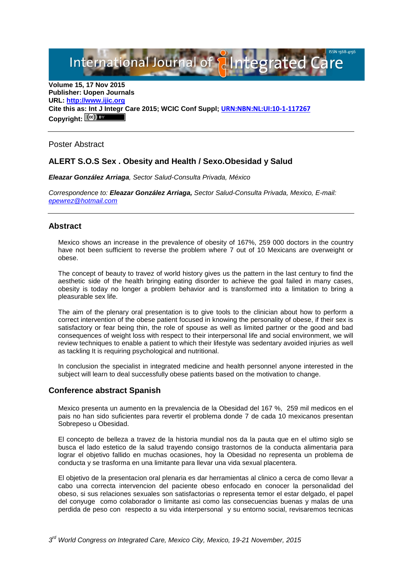International Journal of **Plantegrated Care** 

**Volume 15, 17 Nov 2015 Publisher: Uopen Journals URL: [http://www.ijic.org](http://www.ijic.org/) Cite this as: Int J Integr Care 2015; WCIC Conf Suppl; [URN:NBN:NL:UI:10-1-117267](http://persistent-identifier.nl/?identifier=URN:NBN:NL:UI:10-1-117267)** Copyright:  $(cc)$ 

Poster Abstract

# **ALERT S.O.S Sex . Obesity and Health / Sexo.Obesidad y Salud**

*Eleazar González Arriaga, Sector Salud-Consulta Privada, México*

*Correspondence to: Eleazar González Arriaga, Sector Salud-Consulta Privada, Mexico, E-mail: [epewrez@hotmail.com](mailto:epewrez@hotmail.com)*

## **Abstract**

Mexico shows an increase in the prevalence of obesity of 167%, 259 000 doctors in the country have not been sufficient to reverse the problem where 7 out of 10 Mexicans are overweight or obese.

The concept of beauty to travez of world history gives us the pattern in the last century to find the aesthetic side of the health bringing eating disorder to achieve the goal failed in many cases, obesity is today no longer a problem behavior and is transformed into a limitation to bring a pleasurable sex life.

The aim of the plenary oral presentation is to give tools to the clinician about how to perform a correct intervention of the obese patient focused in knowing the personality of obese, if their sex is satisfactory or fear being thin, the role of spouse as well as limited partner or the good and bad consequences of weight loss with respect to their interpersonal life and social environment, we will review techniques to enable a patient to which their lifestyle was sedentary avoided injuries as well as tackling It is requiring psychological and nutritional.

In conclusion the specialist in integrated medicine and health personnel anyone interested in the subject will learn to deal successfully obese patients based on the motivation to change.

## **Conference abstract Spanish**

Mexico presenta un aumento en la prevalencia de la Obesidad del 167 %, 259 mil medicos en el pais no han sido suficientes para revertir el problema donde 7 de cada 10 mexicanos presentan Sobrepeso u Obesidad.

El concepto de belleza a travez de la historia mundial nos da la pauta que en el ultimo siglo se busca el lado estetico de la salud trayendo consigo trastornos de la conducta alimentaria para lograr el objetivo fallido en muchas ocasiones, hoy la Obesidad no representa un problema de conducta y se trasforma en una limitante para llevar una vida sexual placentera.

El objetivo de la presentacion oral plenaria es dar herramientas al clinico a cerca de como llevar a cabo una correcta intervencion del paciente obeso enfocado en conocer la personalidad del obeso, si sus relaciones sexuales son satisfactorias o representa temor el estar delgado, el papel del conyuge como colaborador o limitante asi como las consecuencias buenas y malas de una perdida de peso con respecto a su vida interpersonal y su entorno social, revisaremos tecnicas